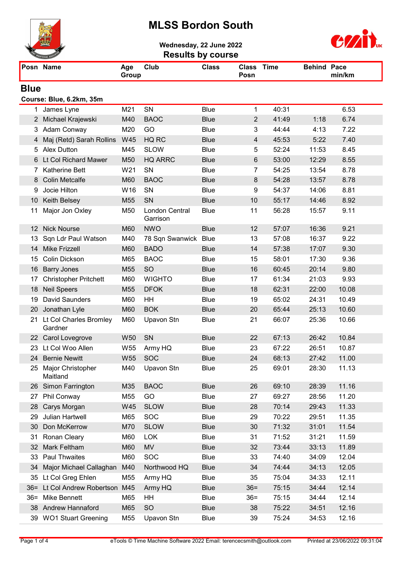## MLSS Bordon South



Wednesday, 22 June 2022



| <b>Results by course</b> |                                   |                 |                                   |              |                    |       |                    |        |
|--------------------------|-----------------------------------|-----------------|-----------------------------------|--------------|--------------------|-------|--------------------|--------|
|                          | Posn Name                         | Age<br>Group    | Club                              | <b>Class</b> | Class Time<br>Posn |       | <b>Behind Pace</b> | min/km |
| <b>Blue</b>              |                                   |                 |                                   |              |                    |       |                    |        |
|                          | Course: Blue, 6.2km, 35m          |                 |                                   |              |                    |       |                    |        |
|                          | 1 James Lyne                      | M21             | SN                                | <b>Blue</b>  | 1                  | 40:31 |                    | 6.53   |
|                          | 2 Michael Krajewski               | M40             | <b>BAOC</b>                       | <b>Blue</b>  | $\overline{2}$     | 41:49 | 1:18               | 6.74   |
|                          | 3 Adam Conway                     | M20             | GO                                | <b>Blue</b>  | 3                  | 44:44 | 4:13               | 7.22   |
| 4                        | Maj (Retd) Sarah Rollins          | W45             | HQ RC                             | <b>Blue</b>  | $\overline{4}$     | 45:53 | 5:22               | 7.40   |
| 5                        | <b>Alex Dutton</b>                | M45             | <b>SLOW</b>                       | <b>Blue</b>  | 5                  | 52:24 | 11:53              | 8.45   |
| 6                        | Lt Col Richard Mawer              | M50             | <b>HQ ARRC</b>                    | <b>Blue</b>  | $\,6$              | 53:00 | 12:29              | 8.55   |
| 7.                       | <b>Katherine Bett</b>             | W21             | SN                                | <b>Blue</b>  | 7                  | 54:25 | 13:54              | 8.78   |
| 8                        | <b>Colin Metcalfe</b>             | M60             | <b>BAOC</b>                       | <b>Blue</b>  | 8                  | 54:28 | 13:57              | 8.78   |
| 9                        | Jocie Hilton                      | W16             | SN                                | <b>Blue</b>  | 9                  | 54:37 | 14:06              | 8.81   |
| 10                       | Keith Belsey                      | M55             | SN                                | <b>Blue</b>  | 10                 | 55:17 | 14:46              | 8.92   |
| 11                       | Major Jon Oxley                   | M50             | <b>London Central</b><br>Garrison | <b>Blue</b>  | 11                 | 56:28 | 15:57              | 9.11   |
| $12 \overline{ }$        | <b>Nick Nourse</b>                | M60             | <b>NWO</b>                        | <b>Blue</b>  | 12                 | 57:07 | 16:36              | 9.21   |
| 13                       | Sqn Ldr Paul Watson               | M40             | 78 Sqn Swanwick                   | <b>Blue</b>  | 13                 | 57:08 | 16:37              | 9.22   |
| 14                       | <b>Mike Frizzell</b>              | M60             | <b>BADO</b>                       | <b>Blue</b>  | 14                 | 57:38 | 17:07              | 9.30   |
| 15                       | Colin Dickson                     | M65             | <b>BAOC</b>                       | <b>Blue</b>  | 15                 | 58:01 | 17:30              | 9.36   |
| 16                       | <b>Barry Jones</b>                | M55             | <b>SO</b>                         | <b>Blue</b>  | 16                 | 60:45 | 20:14              | 9.80   |
| 17                       | <b>Christopher Pritchett</b>      | M60             | <b>WIGHTO</b>                     | <b>Blue</b>  | 17                 | 61:34 | 21:03              | 9.93   |
| 18                       | <b>Neil Speers</b>                | M55             | <b>DFOK</b>                       | <b>Blue</b>  | 18                 | 62:31 | 22:00              | 10.08  |
| 19                       | <b>David Saunders</b>             | M60             | HH                                | <b>Blue</b>  | 19                 | 65:02 | 24:31              | 10.49  |
| 20                       | Jonathan Lyle                     | M60             | <b>BOK</b>                        | <b>Blue</b>  | 20                 | 65:44 | 25:13              | 10.60  |
| 21                       | Lt Col Charles Bromley<br>Gardner | M60             | Upavon Stn                        | <b>Blue</b>  | 21                 | 66:07 | 25:36              | 10.66  |
|                          | 22 Carol Lovegrove                | W <sub>50</sub> | SN                                | <b>Blue</b>  | 22                 | 67:13 | 26:42              | 10.84  |
|                          | 23 Lt Col Woo Allen               | W55             | Army HQ                           | <b>Blue</b>  | 23                 | 67:22 | 26:51              | 10.87  |
| 24                       | <b>Bernie Newitt</b>              | W <sub>55</sub> | <b>SOC</b>                        | <b>Blue</b>  | 24                 | 68:13 | 27:42              | 11.00  |
| 25                       | Major Christopher<br>Maitland     | M40             | Upavon Stn                        | Blue         | 25                 | 69:01 | 28:30              | 11.13  |
| 26                       | Simon Farrington                  | M35             | <b>BAOC</b>                       | <b>Blue</b>  | 26                 | 69:10 | 28:39              | 11.16  |
| 27                       | Phil Conway                       | M55             | GO                                | <b>Blue</b>  | 27                 | 69:27 | 28:56              | 11.20  |
| 28                       | Carys Morgan                      | W45             | <b>SLOW</b>                       | <b>Blue</b>  | 28                 | 70:14 | 29:43              | 11.33  |
| 29                       | Julian Hartwell                   | M65             | <b>SOC</b>                        | Blue         | 29                 | 70:22 | 29:51              | 11.35  |
| 30                       | Don McKerrow                      | M70             | <b>SLOW</b>                       | <b>Blue</b>  | 30                 | 71:32 | 31:01              | 11.54  |
| 31                       | Ronan Cleary                      | M60             | <b>LOK</b>                        | <b>Blue</b>  | 31                 | 71:52 | 31:21              | 11.59  |
| 32                       | Mark Feltham                      | M60             | <b>MV</b>                         | <b>Blue</b>  | 32                 | 73:44 | 33:13              | 11.89  |
| 33                       | <b>Paul Thwaites</b>              | M60             | <b>SOC</b>                        | <b>Blue</b>  | 33                 | 74:40 | 34:09              | 12.04  |
| 34                       | Major Michael Callaghan           | M40             | Northwood HQ                      | <b>Blue</b>  | 34                 | 74:44 | 34:13              | 12.05  |
| 35                       | Lt Col Greg Ehlen                 | M55             | Army HQ                           | Blue         | 35                 | 75:04 | 34:33              | 12.11  |
|                          | 36= Lt Col Andrew Robertson       | M45             | Army HQ                           | <b>Blue</b>  | $36=$              | 75:15 | 34:44              | 12.14  |
| $36=$                    | <b>Mike Bennett</b>               | M65             | HH                                | Blue         | $36=$              | 75:15 | 34:44              | 12.14  |
|                          | 38 Andrew Hannaford               | M65             | <b>SO</b>                         | <b>Blue</b>  | 38                 | 75:22 | 34:51              | 12.16  |
|                          | 39 WO1 Stuart Greening            | M55             | Upavon Stn                        | Blue         | 39                 | 75:24 | 34:53              | 12.16  |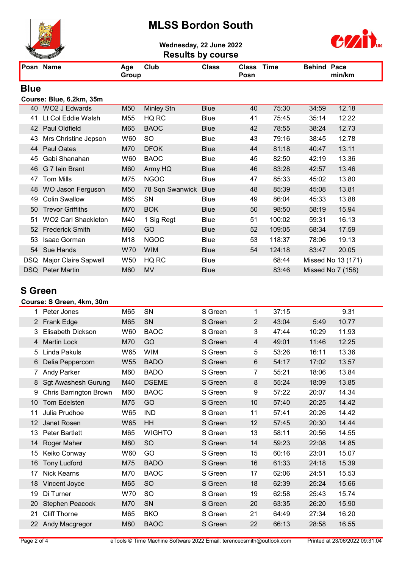## MLSS Bordon South



Wednesday, 22 June 2022



|             | <b>Results by course</b><br><b>ENTERING A</b> |              |                   |              |                      |             |                    |                    |
|-------------|-----------------------------------------------|--------------|-------------------|--------------|----------------------|-------------|--------------------|--------------------|
|             | Posn Name                                     | Age<br>Group | Club              | <b>Class</b> | <b>Class</b><br>Posn | <b>Time</b> | <b>Behind Pace</b> | min/km             |
| <b>Blue</b> |                                               |              |                   |              |                      |             |                    |                    |
|             | Course: Blue, 6.2km, 35m                      |              |                   |              |                      |             |                    |                    |
| 40          | <b>WO2 J Edwards</b>                          | M50          | <b>Minley Stn</b> | <b>Blue</b>  | 40                   | 75:30       | 34:59              | 12.18              |
| 41          | Lt Col Eddie Walsh                            | M55          | HQ RC             | <b>Blue</b>  | 41                   | 75:45       | 35:14              | 12.22              |
| 42          | Paul Oldfield                                 | M65          | <b>BAOC</b>       | <b>Blue</b>  | 42                   | 78:55       | 38:24              | 12.73              |
| 43          | Mrs Christine Jepson                          | W60          | <b>SO</b>         | <b>Blue</b>  | 43                   | 79:16       | 38:45              | 12.78              |
| 44          | Paul Oates                                    | M70          | <b>DFOK</b>       | <b>Blue</b>  | 44                   | 81:18       | 40:47              | 13.11              |
| 45          | Gabi Shanahan                                 | W60          | <b>BAOC</b>       | Blue         | 45                   | 82:50       | 42:19              | 13.36              |
| 46          | G 7 Iain Brant                                | M60          | Army HQ           | <b>Blue</b>  | 46                   | 83:28       | 42:57              | 13.46              |
| 47          | <b>Tom Mills</b>                              | M75          | <b>NGOC</b>       | Blue         | 47                   | 85:33       | 45:02              | 13.80              |
| 48          | <b>WO Jason Ferguson</b>                      | M50          | 78 Sqn Swanwick   | <b>Blue</b>  | 48                   | 85:39       | 45:08              | 13.81              |
| 49          | <b>Colin Swallow</b>                          | M65          | SN                | <b>Blue</b>  | 49                   | 86:04       | 45:33              | 13.88              |
| 50          | <b>Trevor Griffiths</b>                       | M70          | <b>BOK</b>        | <b>Blue</b>  | 50                   | 98:50       | 58:19              | 15.94              |
| 51          | <b>WO2 Carl Shackleton</b>                    | M40          | 1 Sig Regt        | <b>Blue</b>  | 51                   | 100:02      | 59:31              | 16.13              |
| 52          | <b>Frederick Smith</b>                        | M60          | GO                | <b>Blue</b>  | 52                   | 109:05      | 68:34              | 17.59              |
| 53          | Isaac Gorman                                  | M18          | <b>NGOC</b>       | <b>Blue</b>  | 53                   | 118:37      | 78:06              | 19.13              |
| 54          | Sue Hands                                     | <b>W70</b>   | <b>WIM</b>        | <b>Blue</b>  | 54                   | 124:18      | 83:47              | 20.05              |
| DSQ.        | Major Claire Sapwell                          | W50          | HQ RC             | <b>Blue</b>  |                      | 68:44       |                    | Missed No 13 (171) |

DSQ Peter Martin M60 MV Blue 83:46 Missed No 7 (158)

### S Green

#### Course: S Green, 4km, 30m

| 1  | Peter Jones                | M65 | SN            | S Green | 1              | 37:15 |       | 9.31  |
|----|----------------------------|-----|---------------|---------|----------------|-------|-------|-------|
|    | 2 Frank Edge               | M65 | SN            | S Green | $\overline{2}$ | 43:04 | 5:49  | 10.77 |
| 3  | <b>Elisabeth Dickson</b>   | W60 | <b>BAOC</b>   | S Green | 3              | 47:44 | 10:29 | 11.93 |
| 4  | <b>Martin Lock</b>         | M70 | GO            | S Green | $\overline{4}$ | 49:01 | 11:46 | 12.25 |
| 5  | Linda Pakuls               | W65 | <b>WIM</b>    | S Green | 5              | 53:26 | 16:11 | 13.36 |
| 6  | Delia Peppercorn           | W55 | <b>BADO</b>   | S Green | $\,6$          | 54:17 | 17:02 | 13.57 |
| 7  | <b>Andy Parker</b>         | M60 | <b>BADO</b>   | S Green | 7              | 55:21 | 18:06 | 13.84 |
| 8  | <b>Sgt Awashesh Gurung</b> | M40 | <b>DSEME</b>  | S Green | 8              | 55:24 | 18:09 | 13.85 |
| 9  | Chris Barrington Brown     | M60 | <b>BAOC</b>   | S Green | 9              | 57:22 | 20:07 | 14.34 |
| 10 | Tom Edelsten               | M75 | GO            | S Green | 10             | 57:40 | 20:25 | 14.42 |
| 11 | Julia Prudhoe              | W65 | <b>IND</b>    | S Green | 11             | 57:41 | 20:26 | 14.42 |
| 12 | Janet Rosen                | W65 | HH            | S Green | 12             | 57:45 | 20:30 | 14.44 |
| 13 | <b>Peter Bartlett</b>      | M65 | <b>WIGHTO</b> | S Green | 13             | 58:11 | 20:56 | 14.55 |
| 14 | Roger Maher                | M80 | <b>SO</b>     | S Green | 14             | 59:23 | 22:08 | 14.85 |
| 15 | Keiko Conway               | W60 | GO            | S Green | 15             | 60:16 | 23:01 | 15.07 |
| 16 | <b>Tony Ludford</b>        | M75 | <b>BADO</b>   | S Green | 16             | 61:33 | 24:18 | 15.39 |
| 17 | <b>Nick Kearns</b>         | M70 | <b>BAOC</b>   | S Green | 17             | 62:06 | 24:51 | 15.53 |
| 18 | Vincent Joyce              | M65 | <b>SO</b>     | S Green | 18             | 62:39 | 25:24 | 15.66 |
| 19 | Di Turner                  | W70 | <b>SO</b>     | S Green | 19             | 62:58 | 25:43 | 15.74 |
| 20 | Stephen Peacock            | M70 | SN            | S Green | 20             | 63:35 | 26:20 | 15.90 |
| 21 | <b>Cliff Thorne</b>        | M65 | <b>BKO</b>    | S Green | 21             | 64:49 | 27:34 | 16.20 |
| 22 | Andy Macgregor             | M80 | <b>BAOC</b>   | S Green | 22             | 66:13 | 28:58 | 16.55 |
|    |                            |     |               |         |                |       |       |       |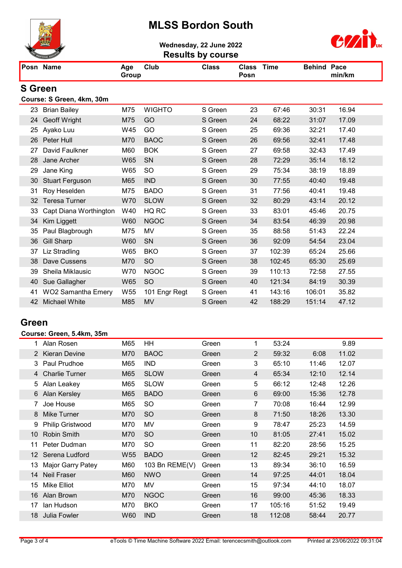## MLSS Bordon South



Wednesday, 22 June 2022



|                |                           |              |               | <b>Results by course</b> |                      |             |                    |        |
|----------------|---------------------------|--------------|---------------|--------------------------|----------------------|-------------|--------------------|--------|
|                | Posn Name                 | Age<br>Group | Club          | <b>Class</b>             | <b>Class</b><br>Posn | <b>Time</b> | <b>Behind Pace</b> | min/km |
| <b>S</b> Green |                           |              |               |                          |                      |             |                    |        |
|                | Course: S Green, 4km, 30m |              |               |                          |                      |             |                    |        |
| 23             | <b>Brian Bailey</b>       | M75          | <b>WIGHTO</b> | S Green                  | 23                   | 67:46       | 30:31              | 16.94  |
| 24             | Geoff Wright              | M75          | GO            | S Green                  | 24                   | 68:22       | 31:07              | 17.09  |
| 25             | Ayako Luu                 | W45          | GO            | S Green                  | 25                   | 69:36       | 32:21              | 17.40  |
| 26             | Peter Hull                | M70          | <b>BAOC</b>   | S Green                  | 26                   | 69:56       | 32:41              | 17.48  |
| 27             | David Faulkner            | M60          | <b>BOK</b>    | S Green                  | 27                   | 69:58       | 32:43              | 17.49  |
| 28             | Jane Archer               | <b>W65</b>   | SN            | S Green                  | 28                   | 72:29       | 35:14              | 18.12  |
| 29             | Jane King                 | W65          | <b>SO</b>     | S Green                  | 29                   | 75:34       | 38:19              | 18.89  |
| 30             | <b>Stuart Ferguson</b>    | M65          | <b>IND</b>    | S Green                  | 30                   | 77:55       | 40:40              | 19.48  |
| 31             | Roy Heselden              | M75          | <b>BADO</b>   | S Green                  | 31                   | 77:56       | 40:41              | 19.48  |
| 32             | <b>Teresa Turner</b>      | <b>W70</b>   | <b>SLOW</b>   | S Green                  | 32                   | 80:29       | 43:14              | 20.12  |
| 33             | Capt Diana Worthington    | W40          | HQ RC         | S Green                  | 33                   | 83:01       | 45:46              | 20.75  |
| 34             | Kim Liggett               | <b>W60</b>   | <b>NGOC</b>   | S Green                  | 34                   | 83:54       | 46:39              | 20.98  |
| 35             | Paul Blagbrough           | M75          | MV            | S Green                  | 35                   | 88:58       | 51:43              | 22.24  |
| 36             | <b>Gill Sharp</b>         | W60          | SN            | S Green                  | 36                   | 92:09       | 54:54              | 23.04  |
| 37             | Liz Stradling             | W65          | <b>BKO</b>    | S Green                  | 37                   | 102:39      | 65:24              | 25.66  |
| 38             | Dave Cussens              | M70          | <b>SO</b>     | S Green                  | 38                   | 102:45      | 65:30              | 25.69  |
| 39             | Sheila Miklausic          | W70          | <b>NGOC</b>   | S Green                  | 39                   | 110:13      | 72:58              | 27.55  |
| 40             | Sue Gallagher             | W65          | <b>SO</b>     | S Green                  | 40                   | 121:34      | 84:19              | 30.39  |
| 41             | <b>WO2 Samantha Emery</b> | W55          | 101 Engr Regt | S Green                  | 41                   | 143:16      | 106:01             | 35.82  |
| 42             | <b>Michael White</b>      | M85          | <b>MV</b>     | S Green                  | 42                   | 188:29      | 151:14             | 47.12  |

### Green

#### Course: Green, 5.4km, 35m

|                 | 1 Alan Rosen          | M65             | HH             | Green | 1  | 53:24  |       | 9.89  |
|-----------------|-----------------------|-----------------|----------------|-------|----|--------|-------|-------|
|                 | 2 Kieran Devine       | M70             | <b>BAOC</b>    | Green | 2  | 59:32  | 6:08  | 11.02 |
| 3               | Paul Prudhoe          | M65             | <b>IND</b>     | Green | 3  | 65:10  | 11:46 | 12.07 |
| 4               | <b>Charlie Turner</b> | M65             | <b>SLOW</b>    | Green | 4  | 65:34  | 12:10 | 12.14 |
| 5               | Alan Leakey           | M65             | <b>SLOW</b>    | Green | 5  | 66:12  | 12:48 | 12.26 |
| 6               | Alan Kersley          | M65             | <b>BADO</b>    | Green | 6  | 69:00  | 15:36 | 12.78 |
|                 | Joe House             | M65             | <b>SO</b>      | Green | 7  | 70:08  | 16:44 | 12.99 |
| 8               | Mike Turner           | M70             | <b>SO</b>      | Green | 8  | 71:50  | 18:26 | 13.30 |
| 9               | Philip Gristwood      | M70             | MV             | Green | 9  | 78:47  | 25:23 | 14.59 |
| 10 <sup>°</sup> | <b>Robin Smith</b>    | M70             | <b>SO</b>      | Green | 10 | 81:05  | 27:41 | 15.02 |
| 11              | Peter Dudman          | M70             | <b>SO</b>      | Green | 11 | 82:20  | 28:56 | 15.25 |
| 12 <sup>1</sup> | Serena Ludford        | W <sub>55</sub> | <b>BADO</b>    | Green | 12 | 82:45  | 29:21 | 15.32 |
| 13              | Major Garry Patey     | M60             | 103 Bn REME(V) | Green | 13 | 89:34  | 36:10 | 16.59 |
| 14              | <b>Neil Fraser</b>    | M60             | <b>NWO</b>     | Green | 14 | 97:25  | 44:01 | 18.04 |
| 15              | <b>Mike Elliot</b>    | M70             | MV             | Green | 15 | 97:34  | 44:10 | 18.07 |
| 16              | Alan Brown            | M70             | <b>NGOC</b>    | Green | 16 | 99:00  | 45:36 | 18.33 |
| 17              | lan Hudson            | M70             | <b>BKO</b>     | Green | 17 | 105:16 | 51:52 | 19.49 |
| 18              | Julia Fowler          | W60             | <b>IND</b>     | Green | 18 | 112:08 | 58:44 | 20.77 |